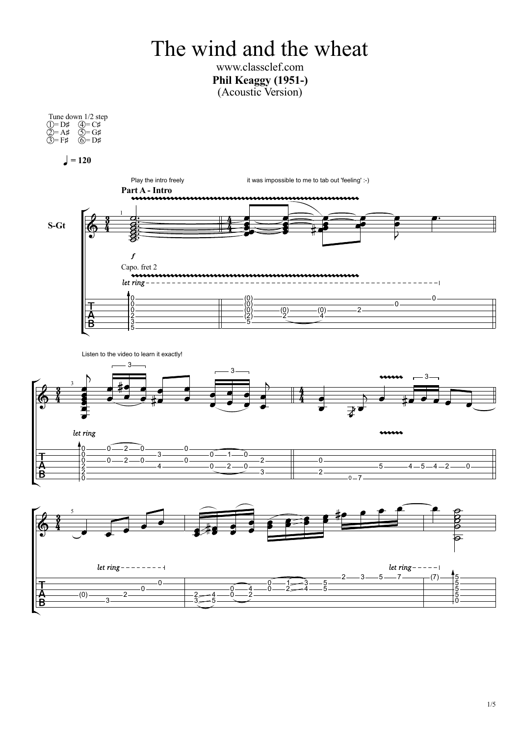

www.classclef.com **Phil Keaggy (1951-)** (Acoustic Version)

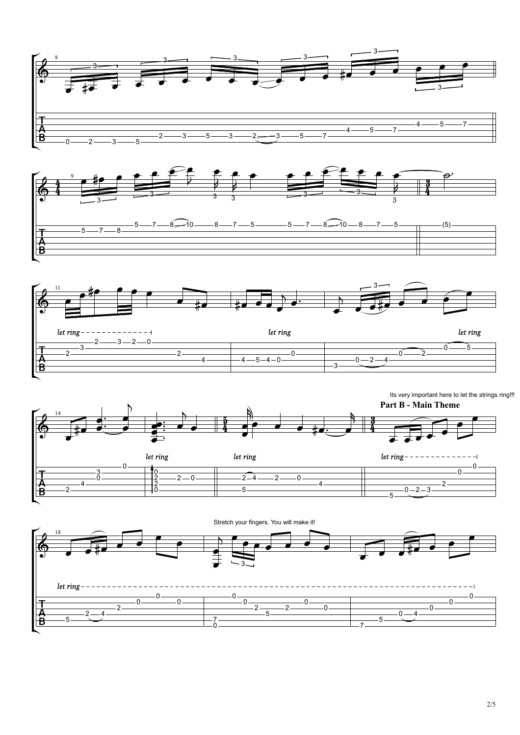







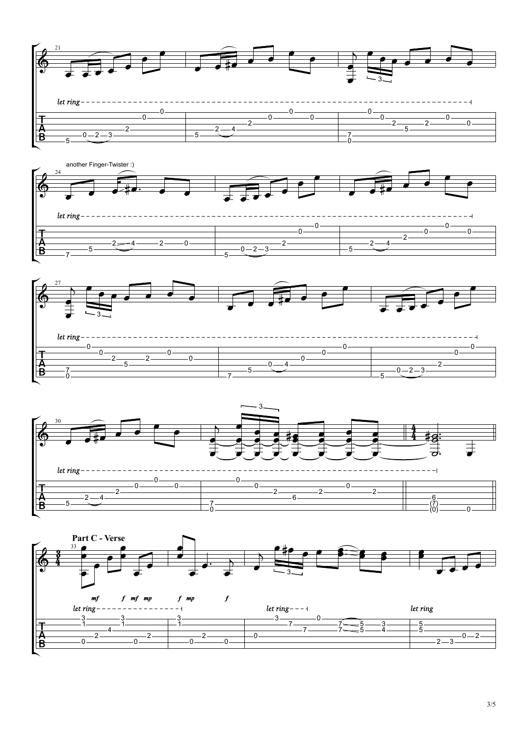







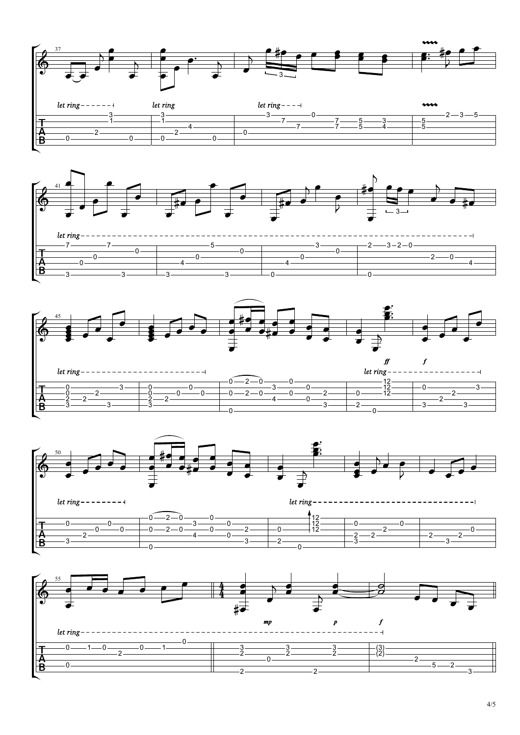